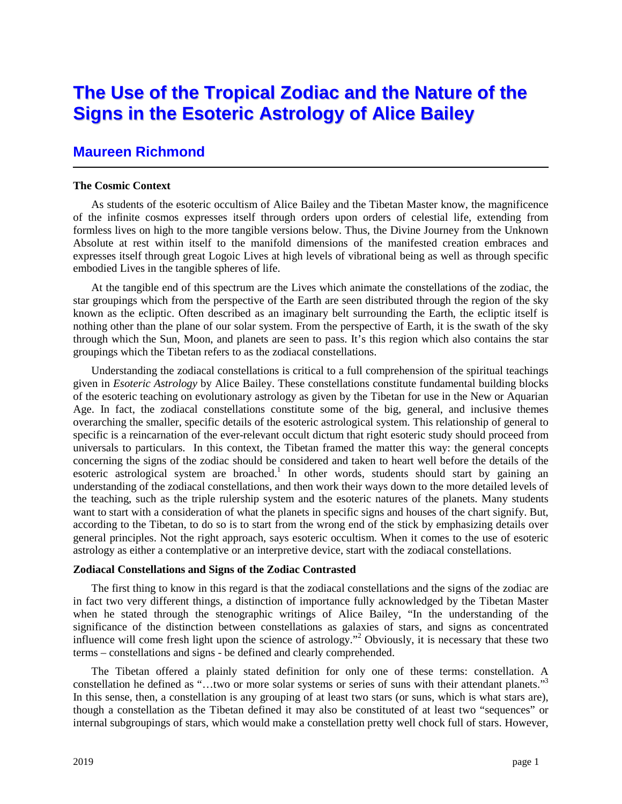# **The Use of the Tropical Zodiac and the Nature of the Signs in the Esoteric Astrology of Alice Bailey**

## **Maureen Richmond**

#### **The Cosmic Context**

As students of the esoteric occultism of Alice Bailey and the Tibetan Master know, the magnificence of the infinite cosmos expresses itself through orders upon orders of celestial life, extending from formless lives on high to the more tangible versions below. Thus, the Divine Journey from the Unknown Absolute at rest within itself to the manifold dimensions of the manifested creation embraces and expresses itself through great Logoic Lives at high levels of vibrational being as well as through specific embodied Lives in the tangible spheres of life.

At the tangible end of this spectrum are the Lives which animate the constellations of the zodiac, the star groupings which from the perspective of the Earth are seen distributed through the region of the sky known as the ecliptic. Often described as an imaginary belt surrounding the Earth, the ecliptic itself is nothing other than the plane of our solar system. From the perspective of Earth, it is the swath of the sky through which the Sun, Moon, and planets are seen to pass. It's this region which also contains the star groupings which the Tibetan refers to as the zodiacal constellations.

Understanding the zodiacal constellations is critical to a full comprehension of the spiritual teachings given in *Esoteric Astrology* by Alice Bailey. These constellations constitute fundamental building blocks of the esoteric teaching on evolutionary astrology as given by the Tibetan for use in the New or Aquarian Age. In fact, the zodiacal constellations constitute some of the big, general, and inclusive themes overarching the smaller, specific details of the esoteric astrological system. This relationship of general to specific is a reincarnation of the ever-relevant occult dictum that right esoteric study should proceed from universals to particulars. In this context, the Tibetan framed the matter this way: the general concepts concerning the signs of the zodiac should be considered and taken to heart well before the details of the esoteric astrological system are broached.<sup>1</sup> In other words, students should start by gaining an understanding of the zodiacal constellations, and then work their ways down to the more detailed levels of the teaching, such as the triple rulership system and the esoteric natures of the planets. Many students want to start with a consideration of what the planets in specific signs and houses of the chart signify. But, according to the Tibetan, to do so is to start from the wrong end of the stick by emphasizing details over general principles. Not the right approach, says esoteric occultism. When it comes to the use of esoteric astrology as either a contemplative or an interpretive device, start with the zodiacal constellations.

### **Zodiacal Constellations and Signs of the Zodiac Contrasted**

The first thing to know in this regard is that the zodiacal constellations and the signs of the zodiac are in fact two very different things, a distinction of importance fully acknowledged by the Tibetan Master when he stated through the stenographic writings of Alice Bailey, "In the understanding of the significance of the distinction between constellations as galaxies of stars, and signs as concentrated influence will come fresh light upon the science of astrology."<sup>2</sup> Obviously, it is necessary that these two terms – constellations and signs - be defined and clearly comprehended.

The Tibetan offered a plainly stated definition for only one of these terms: constellation. A constellation he defined as "...two or more solar systems or series of suns with their attendant planets."<sup>3</sup> In this sense, then, a constellation is any grouping of at least two stars (or suns, which is what stars are), though a constellation as the Tibetan defined it may also be constituted of at least two "sequences" or internal subgroupings of stars, which would make a constellation pretty well chock full of stars. However,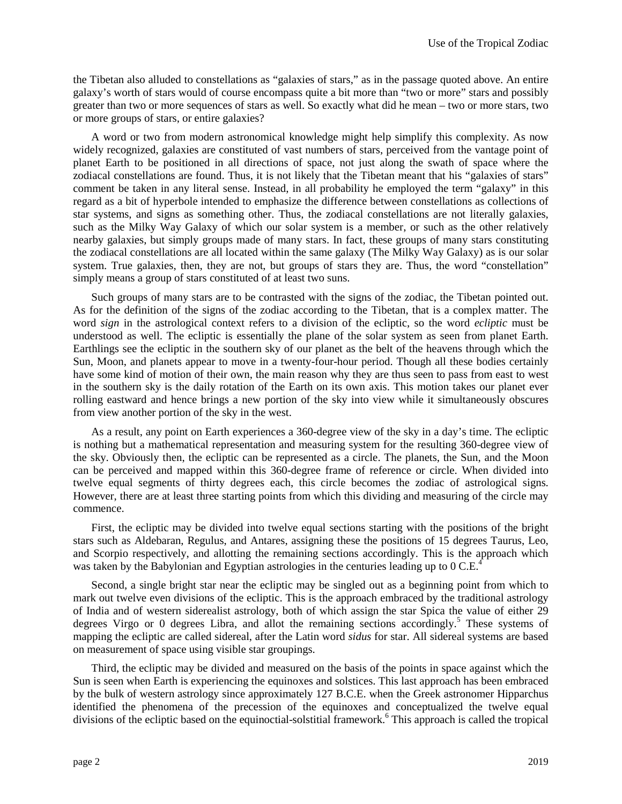the Tibetan also alluded to constellations as "galaxies of stars," as in the passage quoted above. An entire galaxy's worth of stars would of course encompass quite a bit more than "two or more" stars and possibly greater than two or more sequences of stars as well. So exactly what did he mean – two or more stars, two or more groups of stars, or entire galaxies?

A word or two from modern astronomical knowledge might help simplify this complexity. As now widely recognized, galaxies are constituted of vast numbers of stars, perceived from the vantage point of planet Earth to be positioned in all directions of space, not just along the swath of space where the zodiacal constellations are found. Thus, it is not likely that the Tibetan meant that his "galaxies of stars" comment be taken in any literal sense. Instead, in all probability he employed the term "galaxy" in this regard as a bit of hyperbole intended to emphasize the difference between constellations as collections of star systems, and signs as something other. Thus, the zodiacal constellations are not literally galaxies, such as the Milky Way Galaxy of which our solar system is a member, or such as the other relatively nearby galaxies, but simply groups made of many stars. In fact, these groups of many stars constituting the zodiacal constellations are all located within the same galaxy (The Milky Way Galaxy) as is our solar system. True galaxies, then, they are not, but groups of stars they are. Thus, the word "constellation" simply means a group of stars constituted of at least two suns.

Such groups of many stars are to be contrasted with the signs of the zodiac, the Tibetan pointed out. As for the definition of the signs of the zodiac according to the Tibetan, that is a complex matter. The word *sign* in the astrological context refers to a division of the ecliptic, so the word *ecliptic* must be understood as well. The ecliptic is essentially the plane of the solar system as seen from planet Earth. Earthlings see the ecliptic in the southern sky of our planet as the belt of the heavens through which the Sun, Moon, and planets appear to move in a twenty-four-hour period. Though all these bodies certainly have some kind of motion of their own, the main reason why they are thus seen to pass from east to west in the southern sky is the daily rotation of the Earth on its own axis. This motion takes our planet ever rolling eastward and hence brings a new portion of the sky into view while it simultaneously obscures from view another portion of the sky in the west.

As a result, any point on Earth experiences a 360-degree view of the sky in a day's time. The ecliptic is nothing but a mathematical representation and measuring system for the resulting 360-degree view of the sky. Obviously then, the ecliptic can be represented as a circle. The planets, the Sun, and the Moon can be perceived and mapped within this 360-degree frame of reference or circle. When divided into twelve equal segments of thirty degrees each, this circle becomes the zodiac of astrological signs. However, there are at least three starting points from which this dividing and measuring of the circle may commence.

First, the ecliptic may be divided into twelve equal sections starting with the positions of the bright stars such as Aldebaran, Regulus, and Antares, assigning these the positions of 15 degrees Taurus, Leo, and Scorpio respectively, and allotting the remaining sections accordingly. This is the approach which was taken by the Babylonian and Egyptian astrologies in the centuries leading up to  $0 \text{ C.E.}^4$ 

Second, a single bright star near the ecliptic may be singled out as a beginning point from which to mark out twelve even divisions of the ecliptic. This is the approach embraced by the traditional astrology of India and of western siderealist astrology, both of which assign the star Spica the value of either 29 degrees Virgo or 0 degrees Libra, and allot the remaining sections accordingly.<sup>5</sup> These systems of mapping the ecliptic are called sidereal, after the Latin word *sidus* for star. All sidereal systems are based on measurement of space using visible star groupings.

Third, the ecliptic may be divided and measured on the basis of the points in space against which the Sun is seen when Earth is experiencing the equinoxes and solstices. This last approach has been embraced by the bulk of western astrology since approximately 127 B.C.E. when the Greek astronomer Hipparchus identified the phenomena of the precession of the equinoxes and conceptualized the twelve equal divisions of the ecliptic based on the equinoctial-solstitial framework.<sup>6</sup> This approach is called the tropical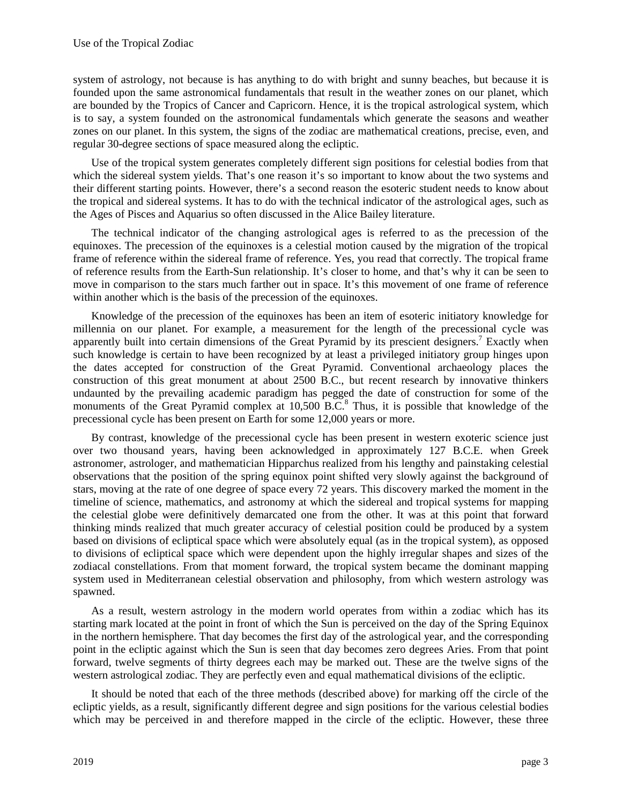system of astrology, not because is has anything to do with bright and sunny beaches, but because it is founded upon the same astronomical fundamentals that result in the weather zones on our planet, which are bounded by the Tropics of Cancer and Capricorn. Hence, it is the tropical astrological system, which is to say, a system founded on the astronomical fundamentals which generate the seasons and weather zones on our planet. In this system, the signs of the zodiac are mathematical creations, precise, even, and regular 30-degree sections of space measured along the ecliptic.

Use of the tropical system generates completely different sign positions for celestial bodies from that which the sidereal system yields. That's one reason it's so important to know about the two systems and their different starting points. However, there's a second reason the esoteric student needs to know about the tropical and sidereal systems. It has to do with the technical indicator of the astrological ages, such as the Ages of Pisces and Aquarius so often discussed in the Alice Bailey literature.

The technical indicator of the changing astrological ages is referred to as the precession of the equinoxes. The precession of the equinoxes is a celestial motion caused by the migration of the tropical frame of reference within the sidereal frame of reference. Yes, you read that correctly. The tropical frame of reference results from the Earth-Sun relationship. It's closer to home, and that's why it can be seen to move in comparison to the stars much farther out in space. It's this movement of one frame of reference within another which is the basis of the precession of the equinoxes.

Knowledge of the precession of the equinoxes has been an item of esoteric initiatory knowledge for millennia on our planet. For example, a measurement for the length of the precessional cycle was apparently built into certain dimensions of the Great Pyramid by its prescient designers.<sup>7</sup> Exactly when such knowledge is certain to have been recognized by at least a privileged initiatory group hinges upon the dates accepted for construction of the Great Pyramid. Conventional archaeology places the construction of this great monument at about 2500 B.C., but recent research by innovative thinkers undaunted by the prevailing academic paradigm has pegged the date of construction for some of the monuments of the Great Pyramid complex at 10,500 B.C.<sup>8</sup> Thus, it is possible that knowledge of the precessional cycle has been present on Earth for some 12,000 years or more.

By contrast, knowledge of the precessional cycle has been present in western exoteric science just over two thousand years, having been acknowledged in approximately 127 B.C.E. when Greek astronomer, astrologer, and mathematician Hipparchus realized from his lengthy and painstaking celestial observations that the position of the spring equinox point shifted very slowly against the background of stars, moving at the rate of one degree of space every 72 years. This discovery marked the moment in the timeline of science, mathematics, and astronomy at which the sidereal and tropical systems for mapping the celestial globe were definitively demarcated one from the other. It was at this point that forward thinking minds realized that much greater accuracy of celestial position could be produced by a system based on divisions of ecliptical space which were absolutely equal (as in the tropical system), as opposed to divisions of ecliptical space which were dependent upon the highly irregular shapes and sizes of the zodiacal constellations. From that moment forward, the tropical system became the dominant mapping system used in Mediterranean celestial observation and philosophy, from which western astrology was spawned.

As a result, western astrology in the modern world operates from within a zodiac which has its starting mark located at the point in front of which the Sun is perceived on the day of the Spring Equinox in the northern hemisphere. That day becomes the first day of the astrological year, and the corresponding point in the ecliptic against which the Sun is seen that day becomes zero degrees Aries. From that point forward, twelve segments of thirty degrees each may be marked out. These are the twelve signs of the western astrological zodiac. They are perfectly even and equal mathematical divisions of the ecliptic.

It should be noted that each of the three methods (described above) for marking off the circle of the ecliptic yields, as a result, significantly different degree and sign positions for the various celestial bodies which may be perceived in and therefore mapped in the circle of the ecliptic. However, these three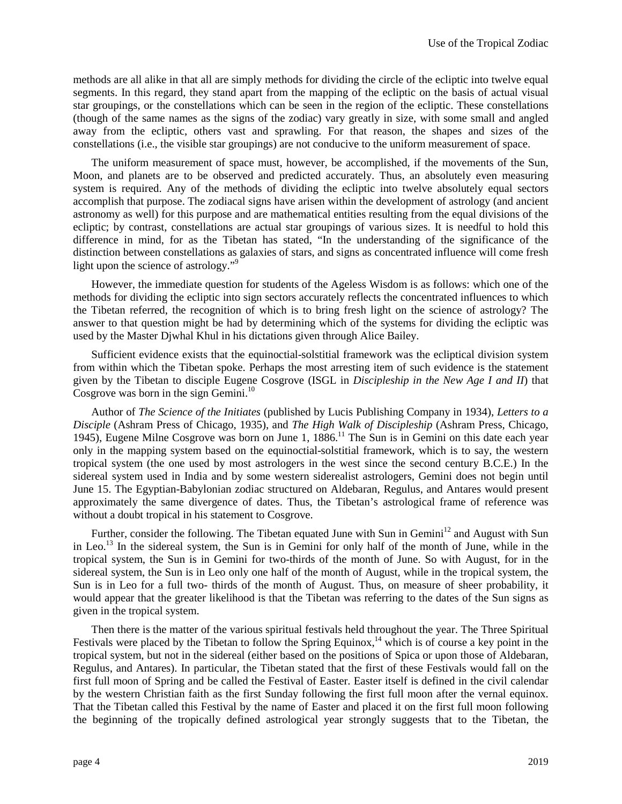methods are all alike in that all are simply methods for dividing the circle of the ecliptic into twelve equal segments. In this regard, they stand apart from the mapping of the ecliptic on the basis of actual visual star groupings, or the constellations which can be seen in the region of the ecliptic. These constellations (though of the same names as the signs of the zodiac) vary greatly in size, with some small and angled away from the ecliptic, others vast and sprawling. For that reason, the shapes and sizes of the constellations (i.e., the visible star groupings) are not conducive to the uniform measurement of space.

The uniform measurement of space must, however, be accomplished, if the movements of the Sun, Moon, and planets are to be observed and predicted accurately. Thus, an absolutely even measuring system is required. Any of the methods of dividing the ecliptic into twelve absolutely equal sectors accomplish that purpose. The zodiacal signs have arisen within the development of astrology (and ancient astronomy as well) for this purpose and are mathematical entities resulting from the equal divisions of the ecliptic; by contrast, constellations are actual star groupings of various sizes. It is needful to hold this difference in mind, for as the Tibetan has stated, "In the understanding of the significance of the distinction between constellations as galaxies of stars, and signs as concentrated influence will come fresh light upon the science of astrology."<sup>9</sup>

However, the immediate question for students of the Ageless Wisdom is as follows: which one of the methods for dividing the ecliptic into sign sectors accurately reflects the concentrated influences to which the Tibetan referred, the recognition of which is to bring fresh light on the science of astrology? The answer to that question might be had by determining which of the systems for dividing the ecliptic was used by the Master Djwhal Khul in his dictations given through Alice Bailey.

Sufficient evidence exists that the equinoctial-solstitial framework was the ecliptical division system from within which the Tibetan spoke. Perhaps the most arresting item of such evidence is the statement given by the Tibetan to disciple Eugene Cosgrove (ISGL in *Discipleship in the New Age I and II*) that Cosgrove was born in the sign Gemini.<sup>10</sup>

Author of *The Science of the Initiates* (published by Lucis Publishing Company in 1934), *Letters to a Disciple* (Ashram Press of Chicago, 1935), and *The High Walk of Discipleship* (Ashram Press, Chicago, 1945), Eugene Milne Cosgrove was born on June 1, 1886.<sup>11</sup> The Sun is in Gemini on this date each year only in the mapping system based on the equinoctial-solstitial framework, which is to say, the western tropical system (the one used by most astrologers in the west since the second century B.C.E.) In the sidereal system used in India and by some western siderealist astrologers, Gemini does not begin until June 15. The Egyptian-Babylonian zodiac structured on Aldebaran, Regulus, and Antares would present approximately the same divergence of dates. Thus, the Tibetan's astrological frame of reference was without a doubt tropical in his statement to Cosgrove.

Further, consider the following. The Tibetan equated June with Sun in Gemini<sup>12</sup> and August with Sun in Leo.<sup>13</sup> In the sidereal system, the Sun is in Gemini for only half of the month of June, while in the tropical system, the Sun is in Gemini for two-thirds of the month of June. So with August, for in the sidereal system, the Sun is in Leo only one half of the month of August, while in the tropical system, the Sun is in Leo for a full two- thirds of the month of August. Thus, on measure of sheer probability, it would appear that the greater likelihood is that the Tibetan was referring to the dates of the Sun signs as given in the tropical system.

Then there is the matter of the various spiritual festivals held throughout the year. The Three Spiritual Festivals were placed by the Tibetan to follow the Spring Equinox,<sup>14</sup> which is of course a key point in the tropical system, but not in the sidereal (either based on the positions of Spica or upon those of Aldebaran, Regulus, and Antares). In particular, the Tibetan stated that the first of these Festivals would fall on the first full moon of Spring and be called the Festival of Easter. Easter itself is defined in the civil calendar by the western Christian faith as the first Sunday following the first full moon after the vernal equinox. That the Tibetan called this Festival by the name of Easter and placed it on the first full moon following the beginning of the tropically defined astrological year strongly suggests that to the Tibetan, the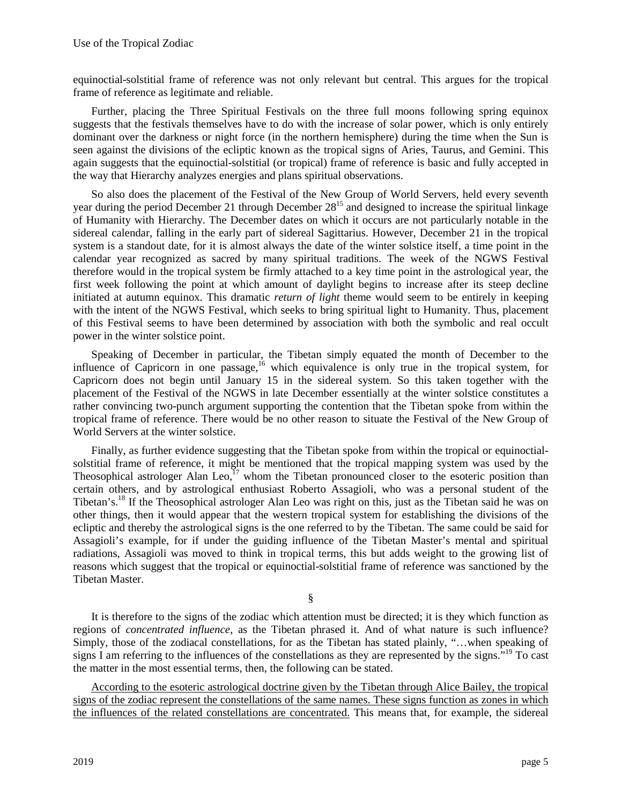equinoctial-solstitial frame of reference was not only relevant but central. This argues for the tropical frame of reference as legitimate and reliable.

Further, placing the Three Spiritual Festivals on the three full moons following spring equinox suggests that the festivals themselves have to do with the increase of solar power, which is only entirely dominant over the darkness or night force (in the northern hemisphere) during the time when the Sun is seen against the divisions of the ecliptic known as the tropical signs of Aries, Taurus, and Gemini. This again suggests that the equinoctial-solstitial (or tropical) frame of reference is basic and fully accepted in the way that Hierarchy analyzes energies and plans spiritual observations.

So also does the placement of the Festival of the New Group of World Servers, held every seventh year during the period December 21 through December 28<sup>15</sup> and designed to increase the spiritual linkage of Humanity with Hierarchy. The December dates on which it occurs are not particularly notable in the sidereal calendar, falling in the early part of sidereal Sagittarius. However, December 21 in the tropical system is a standout date, for it is almost always the date of the winter solstice itself, a time point in the calendar year recognized as sacred by many spiritual traditions. The week of the NGWS Festival therefore would in the tropical system be firmly attached to a key time point in the astrological year, the first week following the point at which amount of daylight begins to increase after its steep decline initiated at autumn equinox. This dramatic *return of light* theme would seem to be entirely in keeping with the intent of the NGWS Festival, which seeks to bring spiritual light to Humanity. Thus, placement of this Festival seems to have been determined by association with both the symbolic and real occult power in the winter solstice point.

Speaking of December in particular, the Tibetan simply equated the month of December to the influence of Capricorn in one passage,<sup>16</sup> which equivalence is only true in the tropical system, for Capricorn does not begin until January 15 in the sidereal system. So this taken together with the placement of the Festival of the NGWS in late December essentially at the winter solstice constitutes a rather convincing two-punch argument supporting the contention that the Tibetan spoke from within the tropical frame of reference. There would be no other reason to situate the Festival of the New Group of World Servers at the winter solstice.

Finally, as further evidence suggesting that the Tibetan spoke from within the tropical or equinoctialsolstitial frame of reference, it might be mentioned that the tropical mapping system was used by the Theosophical astrologer Alan Leo,<sup>17</sup> whom the Tibetan pronounced closer to the esoteric position than certain others, and by astrological enthusiast Roberto Assagioli, who was a personal student of the Tibetan's.<sup>18</sup> If the Theosophical astrologer Alan Leo was right on this, just as the Tibetan said he was on other things, then it would appear that the western tropical system for establishing the divisions of the ecliptic and thereby the astrological signs is the one referred to by the Tibetan. The same could be said for Assagioli's example, for if under the guiding influence of the Tibetan Master's mental and spiritual radiations, Assagioli was moved to think in tropical terms, this but adds weight to the growing list of reasons which suggest that the tropical or equinoctial-solstitial frame of reference was sanctioned by the Tibetan Master.

§

It is therefore to the signs of the zodiac which attention must be directed; it is they which function as regions of *concentrated influence*, as the Tibetan phrased it. And of what nature is such influence? Simply, those of the zodiacal constellations, for as the Tibetan has stated plainly, "…when speaking of signs I am referring to the influences of the constellations as they are represented by the signs."<sup>19</sup> To cast the matter in the most essential terms, then, the following can be stated.

According to the esoteric astrological doctrine given by the Tibetan through Alice Bailey, the tropical signs of the zodiac represent the constellations of the same names. These signs function as zones in which the influences of the related constellations are concentrated. This means that, for example, the sidereal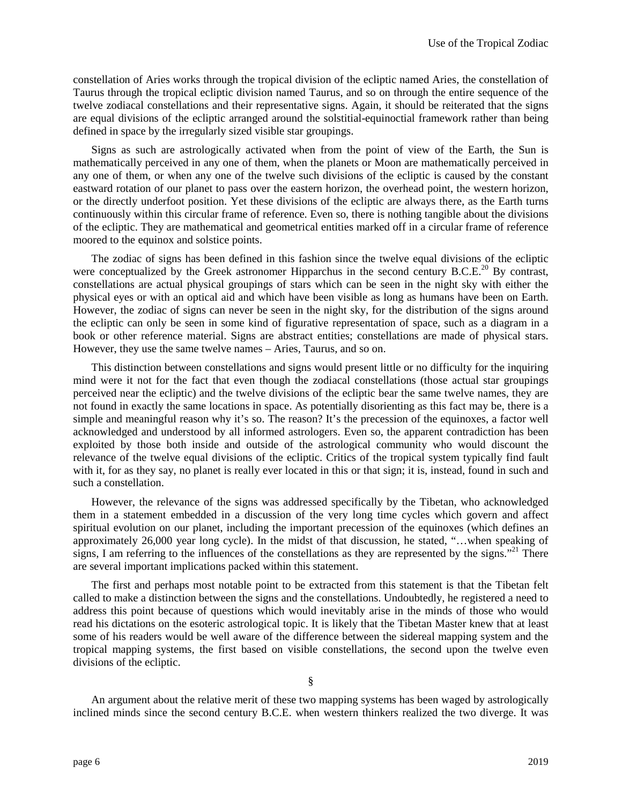constellation of Aries works through the tropical division of the ecliptic named Aries, the constellation of Taurus through the tropical ecliptic division named Taurus, and so on through the entire sequence of the twelve zodiacal constellations and their representative signs. Again, it should be reiterated that the signs are equal divisions of the ecliptic arranged around the solstitial-equinoctial framework rather than being defined in space by the irregularly sized visible star groupings.

Signs as such are astrologically activated when from the point of view of the Earth, the Sun is mathematically perceived in any one of them, when the planets or Moon are mathematically perceived in any one of them, or when any one of the twelve such divisions of the ecliptic is caused by the constant eastward rotation of our planet to pass over the eastern horizon, the overhead point, the western horizon, or the directly underfoot position. Yet these divisions of the ecliptic are always there, as the Earth turns continuously within this circular frame of reference. Even so, there is nothing tangible about the divisions of the ecliptic. They are mathematical and geometrical entities marked off in a circular frame of reference moored to the equinox and solstice points.

The zodiac of signs has been defined in this fashion since the twelve equal divisions of the ecliptic were conceptualized by the Greek astronomer Hipparchus in the second century B.C.E.<sup>20</sup> By contrast, constellations are actual physical groupings of stars which can be seen in the night sky with either the physical eyes or with an optical aid and which have been visible as long as humans have been on Earth. However, the zodiac of signs can never be seen in the night sky, for the distribution of the signs around the ecliptic can only be seen in some kind of figurative representation of space, such as a diagram in a book or other reference material. Signs are abstract entities; constellations are made of physical stars. However, they use the same twelve names – Aries, Taurus, and so on.

This distinction between constellations and signs would present little or no difficulty for the inquiring mind were it not for the fact that even though the zodiacal constellations (those actual star groupings perceived near the ecliptic) and the twelve divisions of the ecliptic bear the same twelve names, they are not found in exactly the same locations in space. As potentially disorienting as this fact may be, there is a simple and meaningful reason why it's so. The reason? It's the precession of the equinoxes, a factor well acknowledged and understood by all informed astrologers. Even so, the apparent contradiction has been exploited by those both inside and outside of the astrological community who would discount the relevance of the twelve equal divisions of the ecliptic. Critics of the tropical system typically find fault with it, for as they say, no planet is really ever located in this or that sign; it is, instead, found in such and such a constellation.

However, the relevance of the signs was addressed specifically by the Tibetan, who acknowledged them in a statement embedded in a discussion of the very long time cycles which govern and affect spiritual evolution on our planet, including the important precession of the equinoxes (which defines an approximately 26,000 year long cycle). In the midst of that discussion, he stated, "…when speaking of signs, I am referring to the influences of the constellations as they are represented by the signs."<sup>21</sup> There are several important implications packed within this statement.

The first and perhaps most notable point to be extracted from this statement is that the Tibetan felt called to make a distinction between the signs and the constellations. Undoubtedly, he registered a need to address this point because of questions which would inevitably arise in the minds of those who would read his dictations on the esoteric astrological topic. It is likely that the Tibetan Master knew that at least some of his readers would be well aware of the difference between the sidereal mapping system and the tropical mapping systems, the first based on visible constellations, the second upon the twelve even divisions of the ecliptic.

§

An argument about the relative merit of these two mapping systems has been waged by astrologically inclined minds since the second century B.C.E. when western thinkers realized the two diverge. It was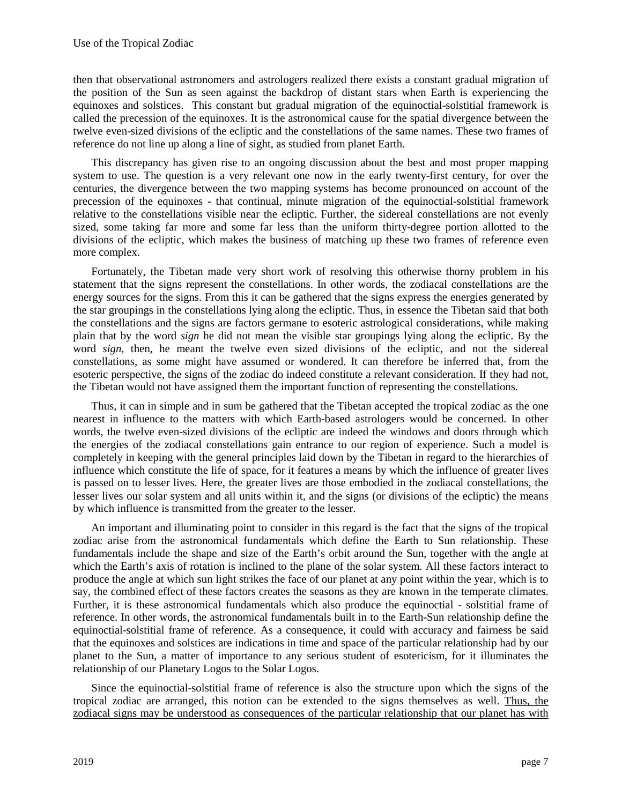then that observational astronomers and astrologers realized there exists a constant gradual migration of the position of the Sun as seen against the backdrop of distant stars when Earth is experiencing the equinoxes and solstices. This constant but gradual migration of the equinoctial-solstitial framework is called the precession of the equinoxes. It is the astronomical cause for the spatial divergence between the twelve even-sized divisions of the ecliptic and the constellations of the same names. These two frames of reference do not line up along a line of sight, as studied from planet Earth.

This discrepancy has given rise to an ongoing discussion about the best and most proper mapping system to use. The question is a very relevant one now in the early twenty-first century, for over the centuries, the divergence between the two mapping systems has become pronounced on account of the precession of the equinoxes - that continual, minute migration of the equinoctial-solstitial framework relative to the constellations visible near the ecliptic. Further, the sidereal constellations are not evenly sized, some taking far more and some far less than the uniform thirty-degree portion allotted to the divisions of the ecliptic, which makes the business of matching up these two frames of reference even more complex.

Fortunately, the Tibetan made very short work of resolving this otherwise thorny problem in his statement that the signs represent the constellations. In other words, the zodiacal constellations are the energy sources for the signs. From this it can be gathered that the signs express the energies generated by the star groupings in the constellations lying along the ecliptic. Thus, in essence the Tibetan said that both the constellations and the signs are factors germane to esoteric astrological considerations, while making plain that by the word *sign* he did not mean the visible star groupings lying along the ecliptic. By the word *sign*, then, he meant the twelve even sized divisions of the ecliptic, and not the sidereal constellations, as some might have assumed or wondered. It can therefore be inferred that, from the esoteric perspective, the signs of the zodiac do indeed constitute a relevant consideration. If they had not, the Tibetan would not have assigned them the important function of representing the constellations.

Thus, it can in simple and in sum be gathered that the Tibetan accepted the tropical zodiac as the one nearest in influence to the matters with which Earth-based astrologers would be concerned. In other words, the twelve even-sized divisions of the ecliptic are indeed the windows and doors through which the energies of the zodiacal constellations gain entrance to our region of experience. Such a model is completely in keeping with the general principles laid down by the Tibetan in regard to the hierarchies of influence which constitute the life of space, for it features a means by which the influence of greater lives is passed on to lesser lives. Here, the greater lives are those embodied in the zodiacal constellations, the lesser lives our solar system and all units within it, and the signs (or divisions of the ecliptic) the means by which influence is transmitted from the greater to the lesser.

An important and illuminating point to consider in this regard is the fact that the signs of the tropical zodiac arise from the astronomical fundamentals which define the Earth to Sun relationship. These fundamentals include the shape and size of the Earth's orbit around the Sun, together with the angle at which the Earth's axis of rotation is inclined to the plane of the solar system. All these factors interact to produce the angle at which sun light strikes the face of our planet at any point within the year, which is to say, the combined effect of these factors creates the seasons as they are known in the temperate climates. Further, it is these astronomical fundamentals which also produce the equinoctial - solstitial frame of reference. In other words, the astronomical fundamentals built in to the Earth-Sun relationship define the equinoctial-solstitial frame of reference. As a consequence, it could with accuracy and fairness be said that the equinoxes and solstices are indications in time and space of the particular relationship had by our planet to the Sun, a matter of importance to any serious student of esotericism, for it illuminates the relationship of our Planetary Logos to the Solar Logos.

Since the equinoctial-solstitial frame of reference is also the structure upon which the signs of the tropical zodiac are arranged, this notion can be extended to the signs themselves as well. Thus, the zodiacal signs may be understood as consequences of the particular relationship that our planet has with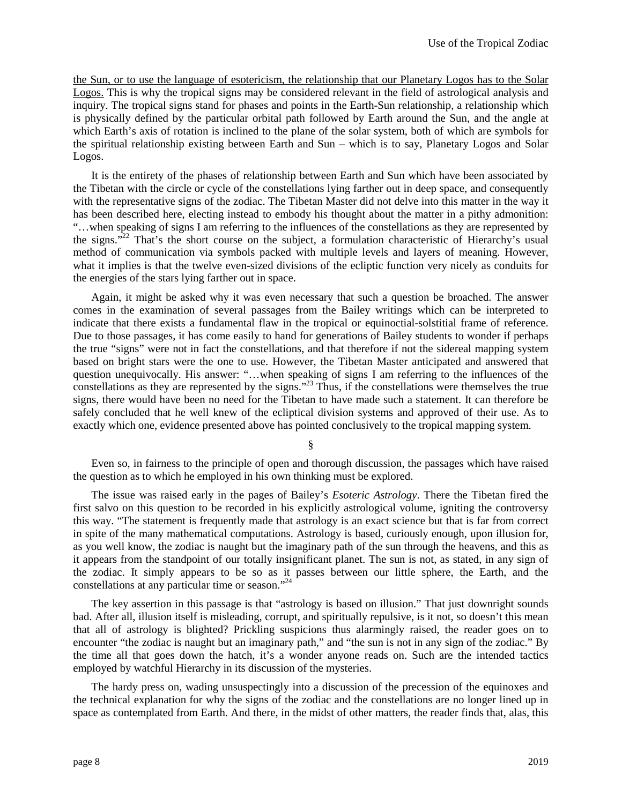the Sun, or to use the language of esotericism, the relationship that our Planetary Logos has to the Solar Logos. This is why the tropical signs may be considered relevant in the field of astrological analysis and inquiry. The tropical signs stand for phases and points in the Earth-Sun relationship, a relationship which is physically defined by the particular orbital path followed by Earth around the Sun, and the angle at which Earth's axis of rotation is inclined to the plane of the solar system, both of which are symbols for the spiritual relationship existing between Earth and Sun – which is to say, Planetary Logos and Solar Logos.

It is the entirety of the phases of relationship between Earth and Sun which have been associated by the Tibetan with the circle or cycle of the constellations lying farther out in deep space, and consequently with the representative signs of the zodiac. The Tibetan Master did not delve into this matter in the way it has been described here, electing instead to embody his thought about the matter in a pithy admonition: "…when speaking of signs I am referring to the influences of the constellations as they are represented by the signs."<sup>22</sup> That's the short course on the subject, a formulation characteristic of Hierarchy's usual method of communication via symbols packed with multiple levels and layers of meaning. However, what it implies is that the twelve even-sized divisions of the ecliptic function very nicely as conduits for the energies of the stars lying farther out in space.

Again, it might be asked why it was even necessary that such a question be broached. The answer comes in the examination of several passages from the Bailey writings which can be interpreted to indicate that there exists a fundamental flaw in the tropical or equinoctial-solstitial frame of reference. Due to those passages, it has come easily to hand for generations of Bailey students to wonder if perhaps the true "signs" were not in fact the constellations, and that therefore if not the sidereal mapping system based on bright stars were the one to use. However, the Tibetan Master anticipated and answered that question unequivocally. His answer: "…when speaking of signs I am referring to the influences of the constellations as they are represented by the signs."<sup>23</sup> Thus, if the constellations were themselves the true signs, there would have been no need for the Tibetan to have made such a statement. It can therefore be safely concluded that he well knew of the ecliptical division systems and approved of their use. As to exactly which one, evidence presented above has pointed conclusively to the tropical mapping system.

§

Even so, in fairness to the principle of open and thorough discussion, the passages which have raised the question as to which he employed in his own thinking must be explored.

The issue was raised early in the pages of Bailey's *Esoteric Astrology*. There the Tibetan fired the first salvo on this question to be recorded in his explicitly astrological volume, igniting the controversy this way. "The statement is frequently made that astrology is an exact science but that is far from correct in spite of the many mathematical computations. Astrology is based, curiously enough, upon illusion for, as you well know, the zodiac is naught but the imaginary path of the sun through the heavens, and this as it appears from the standpoint of our totally insignificant planet. The sun is not, as stated, in any sign of the zodiac. It simply appears to be so as it passes between our little sphere, the Earth, and the constellations at any particular time or season."<sup>24</sup>

The key assertion in this passage is that "astrology is based on illusion." That just downright sounds bad. After all, illusion itself is misleading, corrupt, and spiritually repulsive, is it not, so doesn't this mean that all of astrology is blighted? Prickling suspicions thus alarmingly raised, the reader goes on to encounter "the zodiac is naught but an imaginary path," and "the sun is not in any sign of the zodiac." By the time all that goes down the hatch, it's a wonder anyone reads on. Such are the intended tactics employed by watchful Hierarchy in its discussion of the mysteries.

The hardy press on, wading unsuspectingly into a discussion of the precession of the equinoxes and the technical explanation for why the signs of the zodiac and the constellations are no longer lined up in space as contemplated from Earth. And there, in the midst of other matters, the reader finds that, alas, this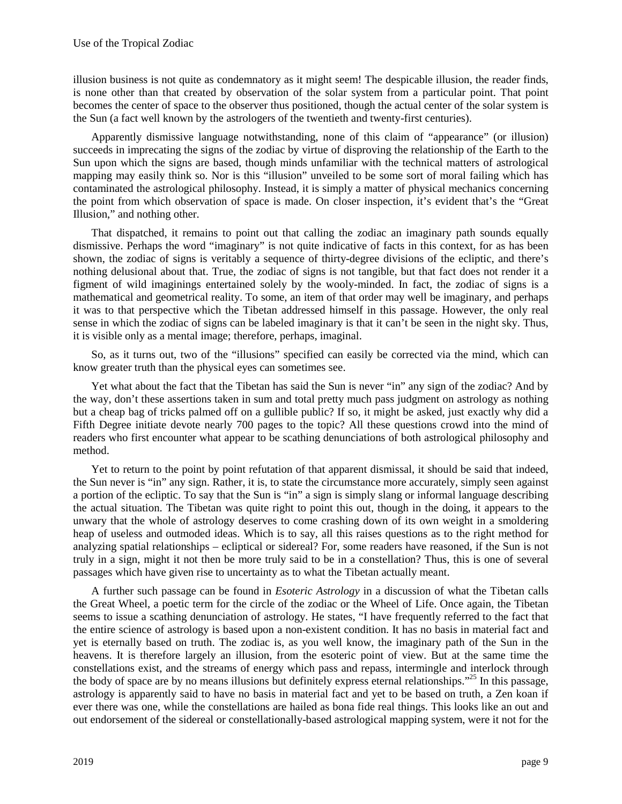illusion business is not quite as condemnatory as it might seem! The despicable illusion, the reader finds, is none other than that created by observation of the solar system from a particular point. That point becomes the center of space to the observer thus positioned, though the actual center of the solar system is the Sun (a fact well known by the astrologers of the twentieth and twenty-first centuries).

Apparently dismissive language notwithstanding, none of this claim of "appearance" (or illusion) succeeds in imprecating the signs of the zodiac by virtue of disproving the relationship of the Earth to the Sun upon which the signs are based, though minds unfamiliar with the technical matters of astrological mapping may easily think so. Nor is this "illusion" unveiled to be some sort of moral failing which has contaminated the astrological philosophy. Instead, it is simply a matter of physical mechanics concerning the point from which observation of space is made. On closer inspection, it's evident that's the "Great Illusion," and nothing other.

That dispatched, it remains to point out that calling the zodiac an imaginary path sounds equally dismissive. Perhaps the word "imaginary" is not quite indicative of facts in this context, for as has been shown, the zodiac of signs is veritably a sequence of thirty-degree divisions of the ecliptic, and there's nothing delusional about that. True, the zodiac of signs is not tangible, but that fact does not render it a figment of wild imaginings entertained solely by the wooly-minded. In fact, the zodiac of signs is a mathematical and geometrical reality. To some, an item of that order may well be imaginary, and perhaps it was to that perspective which the Tibetan addressed himself in this passage. However, the only real sense in which the zodiac of signs can be labeled imaginary is that it can't be seen in the night sky. Thus, it is visible only as a mental image; therefore, perhaps, imaginal.

So, as it turns out, two of the "illusions" specified can easily be corrected via the mind, which can know greater truth than the physical eyes can sometimes see.

Yet what about the fact that the Tibetan has said the Sun is never "in" any sign of the zodiac? And by the way, don't these assertions taken in sum and total pretty much pass judgment on astrology as nothing but a cheap bag of tricks palmed off on a gullible public? If so, it might be asked, just exactly why did a Fifth Degree initiate devote nearly 700 pages to the topic? All these questions crowd into the mind of readers who first encounter what appear to be scathing denunciations of both astrological philosophy and method.

Yet to return to the point by point refutation of that apparent dismissal, it should be said that indeed, the Sun never is "in" any sign. Rather, it is, to state the circumstance more accurately, simply seen against a portion of the ecliptic. To say that the Sun is "in" a sign is simply slang or informal language describing the actual situation. The Tibetan was quite right to point this out, though in the doing, it appears to the unwary that the whole of astrology deserves to come crashing down of its own weight in a smoldering heap of useless and outmoded ideas. Which is to say, all this raises questions as to the right method for analyzing spatial relationships – ecliptical or sidereal? For, some readers have reasoned, if the Sun is not truly in a sign, might it not then be more truly said to be in a constellation? Thus, this is one of several passages which have given rise to uncertainty as to what the Tibetan actually meant.

A further such passage can be found in *Esoteric Astrology* in a discussion of what the Tibetan calls the Great Wheel, a poetic term for the circle of the zodiac or the Wheel of Life. Once again, the Tibetan seems to issue a scathing denunciation of astrology. He states, "I have frequently referred to the fact that the entire science of astrology is based upon a non-existent condition. It has no basis in material fact and yet is eternally based on truth. The zodiac is, as you well know, the imaginary path of the Sun in the heavens. It is therefore largely an illusion, from the esoteric point of view. But at the same time the constellations exist, and the streams of energy which pass and repass, intermingle and interlock through the body of space are by no means illusions but definitely express eternal relationships."<sup>25</sup> In this passage, astrology is apparently said to have no basis in material fact and yet to be based on truth, a Zen koan if ever there was one, while the constellations are hailed as bona fide real things. This looks like an out and out endorsement of the sidereal or constellationally-based astrological mapping system, were it not for the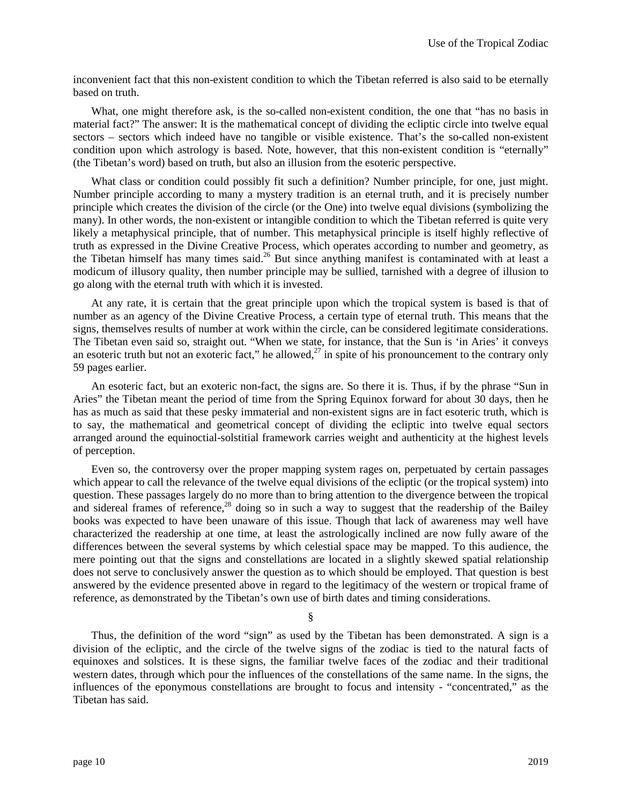inconvenient fact that this non-existent condition to which the Tibetan referred is also said to be eternally based on truth.

What, one might therefore ask, is the so-called non-existent condition, the one that "has no basis in material fact?" The answer: It is the mathematical concept of dividing the ecliptic circle into twelve equal sectors – sectors which indeed have no tangible or visible existence. That's the so-called non-existent condition upon which astrology is based. Note, however, that this non-existent condition is "eternally" (the Tibetan's word) based on truth, but also an illusion from the esoteric perspective.

What class or condition could possibly fit such a definition? Number principle, for one, just might. Number principle according to many a mystery tradition is an eternal truth, and it is precisely number principle which creates the division of the circle (or the One) into twelve equal divisions (symbolizing the many). In other words, the non-existent or intangible condition to which the Tibetan referred is quite very likely a metaphysical principle, that of number. This metaphysical principle is itself highly reflective of truth as expressed in the Divine Creative Process, which operates according to number and geometry, as the Tibetan himself has many times said.<sup>26</sup> But since anything manifest is contaminated with at least a modicum of illusory quality, then number principle may be sullied, tarnished with a degree of illusion to go along with the eternal truth with which it is invested.

At any rate, it is certain that the great principle upon which the tropical system is based is that of number as an agency of the Divine Creative Process, a certain type of eternal truth. This means that the signs, themselves results of number at work within the circle, can be considered legitimate considerations. The Tibetan even said so, straight out. "When we state, for instance, that the Sun is 'in Aries' it conveys an esoteric truth but not an exoteric fact," he allowed, $27$  in spite of his pronouncement to the contrary only 59 pages earlier.

An esoteric fact, but an exoteric non-fact, the signs are. So there it is. Thus, if by the phrase "Sun in Aries" the Tibetan meant the period of time from the Spring Equinox forward for about 30 days, then he has as much as said that these pesky immaterial and non-existent signs are in fact esoteric truth, which is to say, the mathematical and geometrical concept of dividing the ecliptic into twelve equal sectors arranged around the equinoctial-solstitial framework carries weight and authenticity at the highest levels of perception.

Even so, the controversy over the proper mapping system rages on, perpetuated by certain passages which appear to call the relevance of the twelve equal divisions of the ecliptic (or the tropical system) into question. These passages largely do no more than to bring attention to the divergence between the tropical and sidereal frames of reference,<sup>28</sup> doing so in such a way to suggest that the readership of the Bailey books was expected to have been unaware of this issue. Though that lack of awareness may well have characterized the readership at one time, at least the astrologically inclined are now fully aware of the differences between the several systems by which celestial space may be mapped. To this audience, the mere pointing out that the signs and constellations are located in a slightly skewed spatial relationship does not serve to conclusively answer the question as to which should be employed. That question is best answered by the evidence presented above in regard to the legitimacy of the western or tropical frame of reference, as demonstrated by the Tibetan's own use of birth dates and timing considerations.

§

Thus, the definition of the word "sign" as used by the Tibetan has been demonstrated. A sign is a division of the ecliptic, and the circle of the twelve signs of the zodiac is tied to the natural facts of equinoxes and solstices. It is these signs, the familiar twelve faces of the zodiac and their traditional western dates, through which pour the influences of the constellations of the same name. In the signs, the influences of the eponymous constellations are brought to focus and intensity - "concentrated," as the Tibetan has said.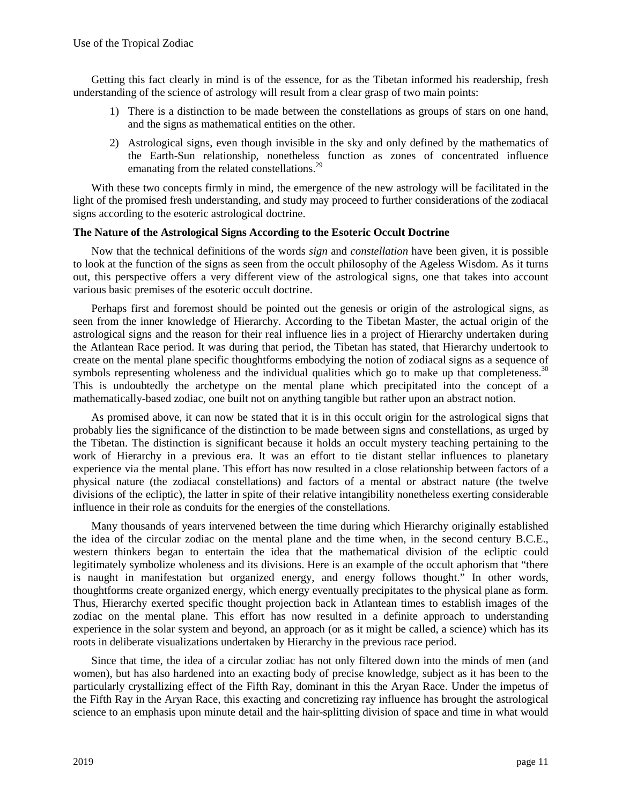Getting this fact clearly in mind is of the essence, for as the Tibetan informed his readership, fresh understanding of the science of astrology will result from a clear grasp of two main points:

- 1) There is a distinction to be made between the constellations as groups of stars on one hand, and the signs as mathematical entities on the other.
- 2) Astrological signs, even though invisible in the sky and only defined by the mathematics of the Earth-Sun relationship, nonetheless function as zones of concentrated influence emanating from the related constellations.<sup>29</sup>

With these two concepts firmly in mind, the emergence of the new astrology will be facilitated in the light of the promised fresh understanding, and study may proceed to further considerations of the zodiacal signs according to the esoteric astrological doctrine.

### **The Nature of the Astrological Signs According to the Esoteric Occult Doctrine**

Now that the technical definitions of the words *sign* and *constellation* have been given, it is possible to look at the function of the signs as seen from the occult philosophy of the Ageless Wisdom. As it turns out, this perspective offers a very different view of the astrological signs, one that takes into account various basic premises of the esoteric occult doctrine.

Perhaps first and foremost should be pointed out the genesis or origin of the astrological signs, as seen from the inner knowledge of Hierarchy. According to the Tibetan Master, the actual origin of the astrological signs and the reason for their real influence lies in a project of Hierarchy undertaken during the Atlantean Race period. It was during that period, the Tibetan has stated, that Hierarchy undertook to create on the mental plane specific thoughtforms embodying the notion of zodiacal signs as a sequence of symbols representing wholeness and the individual qualities which go to make up that completeness.<sup>30</sup> This is undoubtedly the archetype on the mental plane which precipitated into the concept of a mathematically-based zodiac, one built not on anything tangible but rather upon an abstract notion.

As promised above, it can now be stated that it is in this occult origin for the astrological signs that probably lies the significance of the distinction to be made between signs and constellations, as urged by the Tibetan. The distinction is significant because it holds an occult mystery teaching pertaining to the work of Hierarchy in a previous era. It was an effort to tie distant stellar influences to planetary experience via the mental plane. This effort has now resulted in a close relationship between factors of a physical nature (the zodiacal constellations) and factors of a mental or abstract nature (the twelve divisions of the ecliptic), the latter in spite of their relative intangibility nonetheless exerting considerable influence in their role as conduits for the energies of the constellations.

Many thousands of years intervened between the time during which Hierarchy originally established the idea of the circular zodiac on the mental plane and the time when, in the second century B.C.E., western thinkers began to entertain the idea that the mathematical division of the ecliptic could legitimately symbolize wholeness and its divisions. Here is an example of the occult aphorism that "there is naught in manifestation but organized energy, and energy follows thought." In other words, thoughtforms create organized energy, which energy eventually precipitates to the physical plane as form. Thus, Hierarchy exerted specific thought projection back in Atlantean times to establish images of the zodiac on the mental plane. This effort has now resulted in a definite approach to understanding experience in the solar system and beyond, an approach (or as it might be called, a science) which has its roots in deliberate visualizations undertaken by Hierarchy in the previous race period.

Since that time, the idea of a circular zodiac has not only filtered down into the minds of men (and women), but has also hardened into an exacting body of precise knowledge, subject as it has been to the particularly crystallizing effect of the Fifth Ray, dominant in this the Aryan Race. Under the impetus of the Fifth Ray in the Aryan Race, this exacting and concretizing ray influence has brought the astrological science to an emphasis upon minute detail and the hair-splitting division of space and time in what would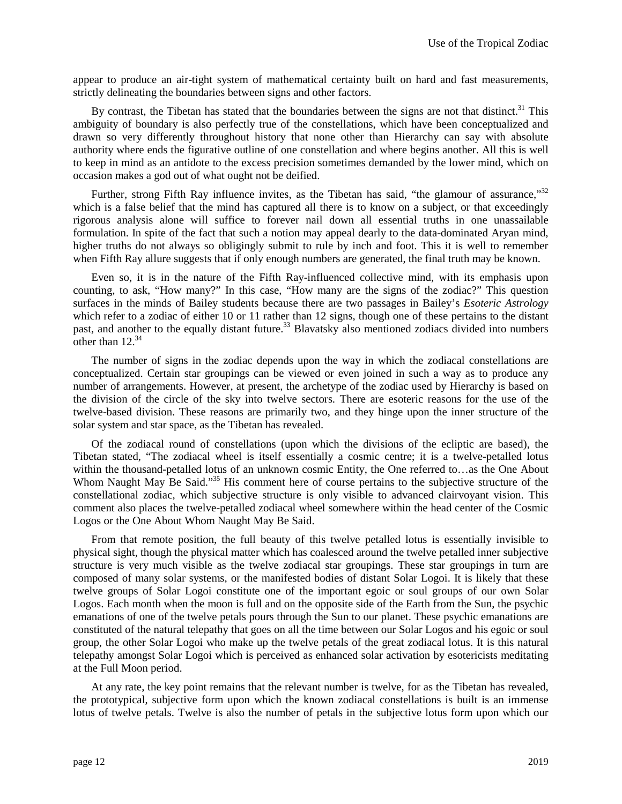appear to produce an air-tight system of mathematical certainty built on hard and fast measurements, strictly delineating the boundaries between signs and other factors.

By contrast, the Tibetan has stated that the boundaries between the signs are not that distinct.<sup>31</sup> This ambiguity of boundary is also perfectly true of the constellations, which have been conceptualized and drawn so very differently throughout history that none other than Hierarchy can say with absolute authority where ends the figurative outline of one constellation and where begins another. All this is well to keep in mind as an antidote to the excess precision sometimes demanded by the lower mind, which on occasion makes a god out of what ought not be deified.

Further, strong Fifth Ray influence invites, as the Tibetan has said, "the glamour of assurance," $32$ which is a false belief that the mind has captured all there is to know on a subject, or that exceedingly rigorous analysis alone will suffice to forever nail down all essential truths in one unassailable formulation. In spite of the fact that such a notion may appeal dearly to the data-dominated Aryan mind, higher truths do not always so obligingly submit to rule by inch and foot. This it is well to remember when Fifth Ray allure suggests that if only enough numbers are generated, the final truth may be known.

Even so, it is in the nature of the Fifth Ray-influenced collective mind, with its emphasis upon counting, to ask, "How many?" In this case, "How many are the signs of the zodiac?" This question surfaces in the minds of Bailey students because there are two passages in Bailey's *Esoteric Astrology* which refer to a zodiac of either 10 or 11 rather than 12 signs, though one of these pertains to the distant past, and another to the equally distant future.<sup>33</sup> Blavatsky also mentioned zodiacs divided into numbers other than  $12.^{34}$ 

The number of signs in the zodiac depends upon the way in which the zodiacal constellations are conceptualized. Certain star groupings can be viewed or even joined in such a way as to produce any number of arrangements. However, at present, the archetype of the zodiac used by Hierarchy is based on the division of the circle of the sky into twelve sectors. There are esoteric reasons for the use of the twelve-based division. These reasons are primarily two, and they hinge upon the inner structure of the solar system and star space, as the Tibetan has revealed.

Of the zodiacal round of constellations (upon which the divisions of the ecliptic are based), the Tibetan stated, "The zodiacal wheel is itself essentially a cosmic centre; it is a twelve-petalled lotus within the thousand-petalled lotus of an unknown cosmic Entity, the One referred to...as the One About Whom Naught May Be Said."<sup>35</sup> His comment here of course pertains to the subjective structure of the constellational zodiac, which subjective structure is only visible to advanced clairvoyant vision. This comment also places the twelve-petalled zodiacal wheel somewhere within the head center of the Cosmic Logos or the One About Whom Naught May Be Said.

From that remote position, the full beauty of this twelve petalled lotus is essentially invisible to physical sight, though the physical matter which has coalesced around the twelve petalled inner subjective structure is very much visible as the twelve zodiacal star groupings. These star groupings in turn are composed of many solar systems, or the manifested bodies of distant Solar Logoi. It is likely that these twelve groups of Solar Logoi constitute one of the important egoic or soul groups of our own Solar Logos. Each month when the moon is full and on the opposite side of the Earth from the Sun, the psychic emanations of one of the twelve petals pours through the Sun to our planet. These psychic emanations are constituted of the natural telepathy that goes on all the time between our Solar Logos and his egoic or soul group, the other Solar Logoi who make up the twelve petals of the great zodiacal lotus. It is this natural telepathy amongst Solar Logoi which is perceived as enhanced solar activation by esotericists meditating at the Full Moon period.

At any rate, the key point remains that the relevant number is twelve, for as the Tibetan has revealed, the prototypical, subjective form upon which the known zodiacal constellations is built is an immense lotus of twelve petals. Twelve is also the number of petals in the subjective lotus form upon which our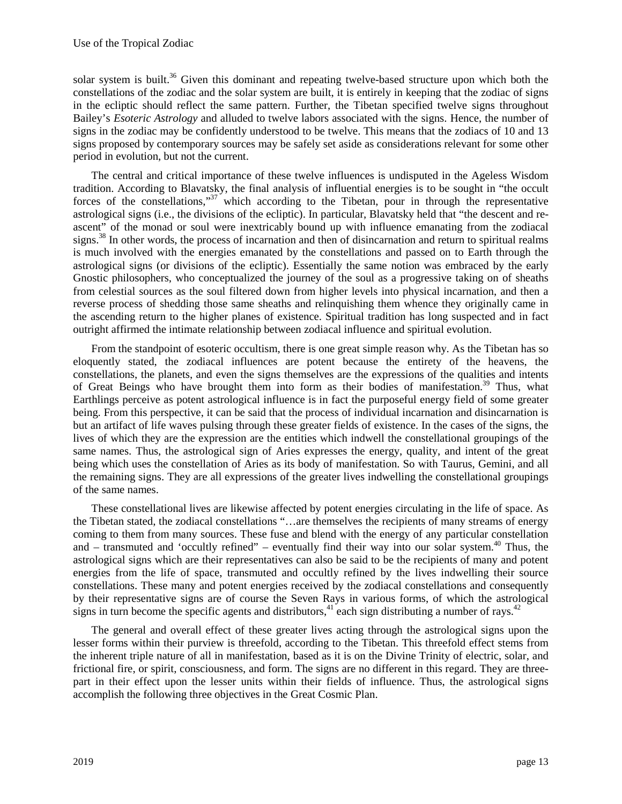solar system is built.<sup>36</sup> Given this dominant and repeating twelve-based structure upon which both the constellations of the zodiac and the solar system are built, it is entirely in keeping that the zodiac of signs in the ecliptic should reflect the same pattern. Further, the Tibetan specified twelve signs throughout Bailey's *Esoteric Astrology* and alluded to twelve labors associated with the signs. Hence, the number of signs in the zodiac may be confidently understood to be twelve. This means that the zodiacs of 10 and 13 signs proposed by contemporary sources may be safely set aside as considerations relevant for some other period in evolution, but not the current.

The central and critical importance of these twelve influences is undisputed in the Ageless Wisdom tradition. According to Blavatsky, the final analysis of influential energies is to be sought in "the occult forces of the constellations,"<sup>37</sup> which according to the Tibetan, pour in through the representative astrological signs (i.e., the divisions of the ecliptic). In particular, Blavatsky held that "the descent and reascent" of the monad or soul were inextricably bound up with influence emanating from the zodiacal signs.<sup>38</sup> In other words, the process of incarnation and then of disincarnation and return to spiritual realms is much involved with the energies emanated by the constellations and passed on to Earth through the astrological signs (or divisions of the ecliptic). Essentially the same notion was embraced by the early Gnostic philosophers, who conceptualized the journey of the soul as a progressive taking on of sheaths from celestial sources as the soul filtered down from higher levels into physical incarnation, and then a reverse process of shedding those same sheaths and relinquishing them whence they originally came in the ascending return to the higher planes of existence. Spiritual tradition has long suspected and in fact outright affirmed the intimate relationship between zodiacal influence and spiritual evolution.

From the standpoint of esoteric occultism, there is one great simple reason why. As the Tibetan has so eloquently stated, the zodiacal influences are potent because the entirety of the heavens, the constellations, the planets, and even the signs themselves are the expressions of the qualities and intents of Great Beings who have brought them into form as their bodies of manifestation.<sup>39</sup> Thus, what Earthlings perceive as potent astrological influence is in fact the purposeful energy field of some greater being. From this perspective, it can be said that the process of individual incarnation and disincarnation is but an artifact of life waves pulsing through these greater fields of existence. In the cases of the signs, the lives of which they are the expression are the entities which indwell the constellational groupings of the same names. Thus, the astrological sign of Aries expresses the energy, quality, and intent of the great being which uses the constellation of Aries as its body of manifestation. So with Taurus, Gemini, and all the remaining signs. They are all expressions of the greater lives indwelling the constellational groupings of the same names.

These constellational lives are likewise affected by potent energies circulating in the life of space. As the Tibetan stated, the zodiacal constellations "…are themselves the recipients of many streams of energy coming to them from many sources. These fuse and blend with the energy of any particular constellation and – transmuted and 'occultly refined" – eventually find their way into our solar system.<sup>40</sup> Thus, the astrological signs which are their representatives can also be said to be the recipients of many and potent energies from the life of space, transmuted and occultly refined by the lives indwelling their source constellations. These many and potent energies received by the zodiacal constellations and consequently by their representative signs are of course the Seven Rays in various forms, of which the astrological signs in turn become the specific agents and distributors,<sup>41</sup> each sign distributing a number of rays.<sup>42</sup>

The general and overall effect of these greater lives acting through the astrological signs upon the lesser forms within their purview is threefold, according to the Tibetan. This threefold effect stems from the inherent triple nature of all in manifestation, based as it is on the Divine Trinity of electric, solar, and frictional fire, or spirit, consciousness, and form. The signs are no different in this regard. They are threepart in their effect upon the lesser units within their fields of influence. Thus, the astrological signs accomplish the following three objectives in the Great Cosmic Plan.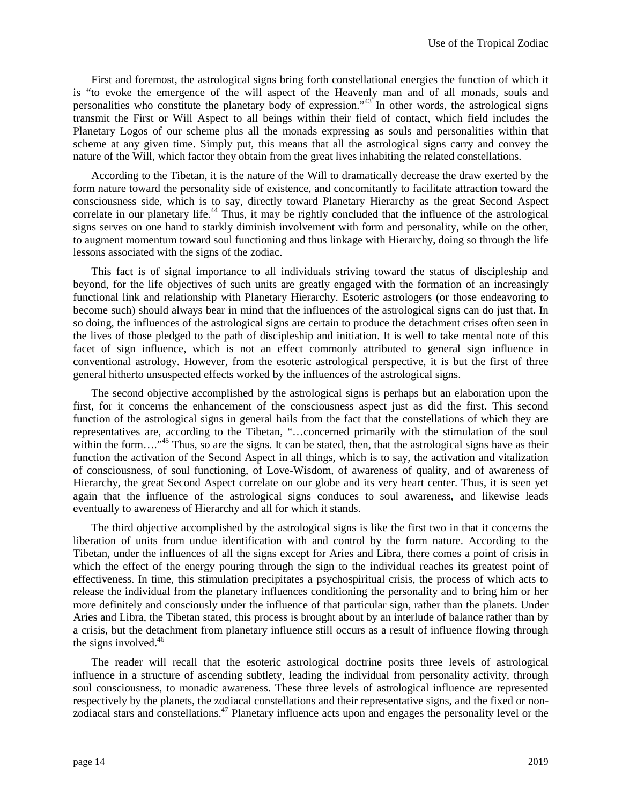First and foremost, the astrological signs bring forth constellational energies the function of which it is "to evoke the emergence of the will aspect of the Heavenly man and of all monads, souls and personalities who constitute the planetary body of expression."<sup>43</sup> In other words, the astrological signs transmit the First or Will Aspect to all beings within their field of contact, which field includes the Planetary Logos of our scheme plus all the monads expressing as souls and personalities within that scheme at any given time. Simply put, this means that all the astrological signs carry and convey the nature of the Will, which factor they obtain from the great lives inhabiting the related constellations.

According to the Tibetan, it is the nature of the Will to dramatically decrease the draw exerted by the form nature toward the personality side of existence, and concomitantly to facilitate attraction toward the consciousness side, which is to say, directly toward Planetary Hierarchy as the great Second Aspect correlate in our planetary life.<sup>44</sup> Thus, it may be rightly concluded that the influence of the astrological signs serves on one hand to starkly diminish involvement with form and personality, while on the other, to augment momentum toward soul functioning and thus linkage with Hierarchy, doing so through the life lessons associated with the signs of the zodiac.

This fact is of signal importance to all individuals striving toward the status of discipleship and beyond, for the life objectives of such units are greatly engaged with the formation of an increasingly functional link and relationship with Planetary Hierarchy. Esoteric astrologers (or those endeavoring to become such) should always bear in mind that the influences of the astrological signs can do just that. In so doing, the influences of the astrological signs are certain to produce the detachment crises often seen in the lives of those pledged to the path of discipleship and initiation. It is well to take mental note of this facet of sign influence, which is not an effect commonly attributed to general sign influence in conventional astrology. However, from the esoteric astrological perspective, it is but the first of three general hitherto unsuspected effects worked by the influences of the astrological signs.

The second objective accomplished by the astrological signs is perhaps but an elaboration upon the first, for it concerns the enhancement of the consciousness aspect just as did the first. This second function of the astrological signs in general hails from the fact that the constellations of which they are representatives are, according to the Tibetan, "…concerned primarily with the stimulation of the soul within the form…."<sup>45</sup> Thus, so are the signs. It can be stated, then, that the astrological signs have as their function the activation of the Second Aspect in all things, which is to say, the activation and vitalization of consciousness, of soul functioning, of Love-Wisdom, of awareness of quality, and of awareness of Hierarchy, the great Second Aspect correlate on our globe and its very heart center. Thus, it is seen yet again that the influence of the astrological signs conduces to soul awareness, and likewise leads eventually to awareness of Hierarchy and all for which it stands.

The third objective accomplished by the astrological signs is like the first two in that it concerns the liberation of units from undue identification with and control by the form nature. According to the Tibetan, under the influences of all the signs except for Aries and Libra, there comes a point of crisis in which the effect of the energy pouring through the sign to the individual reaches its greatest point of effectiveness. In time, this stimulation precipitates a psychospiritual crisis, the process of which acts to release the individual from the planetary influences conditioning the personality and to bring him or her more definitely and consciously under the influence of that particular sign, rather than the planets. Under Aries and Libra, the Tibetan stated, this process is brought about by an interlude of balance rather than by a crisis, but the detachment from planetary influence still occurs as a result of influence flowing through the signs involved. $46$ 

The reader will recall that the esoteric astrological doctrine posits three levels of astrological influence in a structure of ascending subtlety, leading the individual from personality activity, through soul consciousness, to monadic awareness. These three levels of astrological influence are represented respectively by the planets, the zodiacal constellations and their representative signs, and the fixed or nonzodiacal stars and constellations.<sup>47</sup> Planetary influence acts upon and engages the personality level or the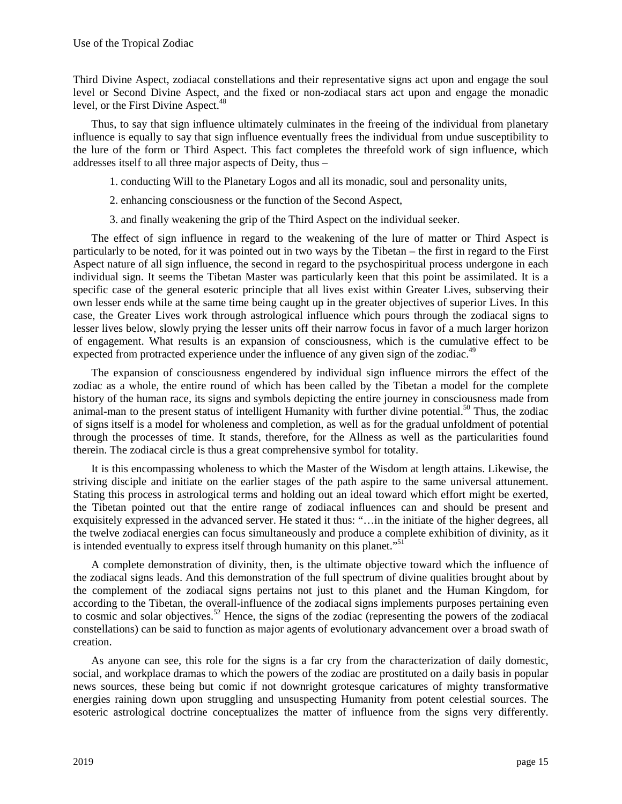Third Divine Aspect, zodiacal constellations and their representative signs act upon and engage the soul level or Second Divine Aspect, and the fixed or non-zodiacal stars act upon and engage the monadic level, or the First Divine Aspect.<sup>48</sup>

Thus, to say that sign influence ultimately culminates in the freeing of the individual from planetary influence is equally to say that sign influence eventually frees the individual from undue susceptibility to the lure of the form or Third Aspect. This fact completes the threefold work of sign influence, which addresses itself to all three major aspects of Deity, thus –

- 1. conducting Will to the Planetary Logos and all its monadic, soul and personality units,
- 2. enhancing consciousness or the function of the Second Aspect,
- 3. and finally weakening the grip of the Third Aspect on the individual seeker.

The effect of sign influence in regard to the weakening of the lure of matter or Third Aspect is particularly to be noted, for it was pointed out in two ways by the Tibetan – the first in regard to the First Aspect nature of all sign influence, the second in regard to the psychospiritual process undergone in each individual sign. It seems the Tibetan Master was particularly keen that this point be assimilated. It is a specific case of the general esoteric principle that all lives exist within Greater Lives, subserving their own lesser ends while at the same time being caught up in the greater objectives of superior Lives. In this case, the Greater Lives work through astrological influence which pours through the zodiacal signs to lesser lives below, slowly prying the lesser units off their narrow focus in favor of a much larger horizon of engagement. What results is an expansion of consciousness, which is the cumulative effect to be expected from protracted experience under the influence of any given sign of the zodiac.<sup>49</sup>

The expansion of consciousness engendered by individual sign influence mirrors the effect of the zodiac as a whole, the entire round of which has been called by the Tibetan a model for the complete history of the human race, its signs and symbols depicting the entire journey in consciousness made from animal-man to the present status of intelligent Humanity with further divine potential.<sup>50</sup> Thus, the zodiac of signs itself is a model for wholeness and completion, as well as for the gradual unfoldment of potential through the processes of time. It stands, therefore, for the Allness as well as the particularities found therein. The zodiacal circle is thus a great comprehensive symbol for totality.

It is this encompassing wholeness to which the Master of the Wisdom at length attains. Likewise, the striving disciple and initiate on the earlier stages of the path aspire to the same universal attunement. Stating this process in astrological terms and holding out an ideal toward which effort might be exerted, the Tibetan pointed out that the entire range of zodiacal influences can and should be present and exquisitely expressed in the advanced server. He stated it thus: "…in the initiate of the higher degrees, all the twelve zodiacal energies can focus simultaneously and produce a complete exhibition of divinity, as it is intended eventually to express itself through humanity on this planet."<sup>51</sup>

A complete demonstration of divinity, then, is the ultimate objective toward which the influence of the zodiacal signs leads. And this demonstration of the full spectrum of divine qualities brought about by the complement of the zodiacal signs pertains not just to this planet and the Human Kingdom, for according to the Tibetan, the overall-influence of the zodiacal signs implements purposes pertaining even to cosmic and solar objectives.<sup>52</sup> Hence, the signs of the zodiac (representing the powers of the zodiacal constellations) can be said to function as major agents of evolutionary advancement over a broad swath of creation.

As anyone can see, this role for the signs is a far cry from the characterization of daily domestic, social, and workplace dramas to which the powers of the zodiac are prostituted on a daily basis in popular news sources, these being but comic if not downright grotesque caricatures of mighty transformative energies raining down upon struggling and unsuspecting Humanity from potent celestial sources. The esoteric astrological doctrine conceptualizes the matter of influence from the signs very differently.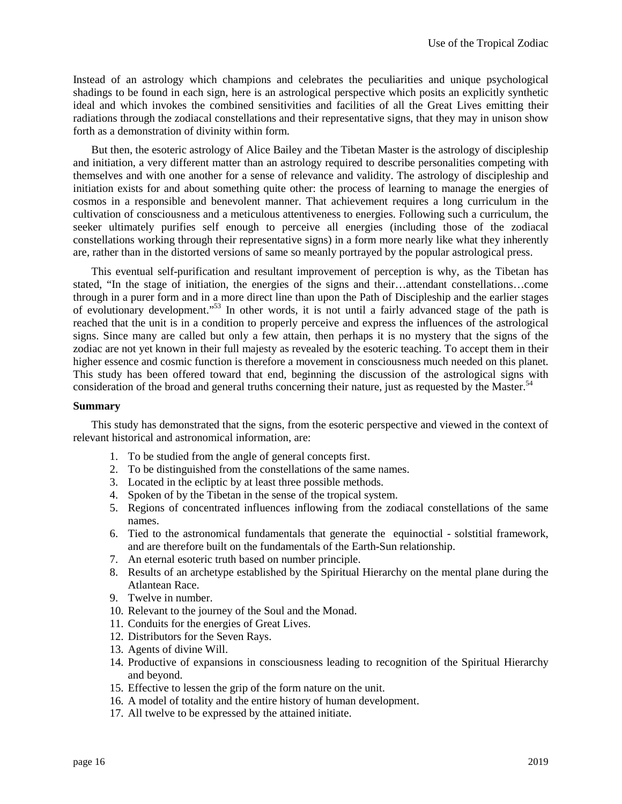Instead of an astrology which champions and celebrates the peculiarities and unique psychological shadings to be found in each sign, here is an astrological perspective which posits an explicitly synthetic ideal and which invokes the combined sensitivities and facilities of all the Great Lives emitting their radiations through the zodiacal constellations and their representative signs, that they may in unison show forth as a demonstration of divinity within form.

But then, the esoteric astrology of Alice Bailey and the Tibetan Master is the astrology of discipleship and initiation, a very different matter than an astrology required to describe personalities competing with themselves and with one another for a sense of relevance and validity. The astrology of discipleship and initiation exists for and about something quite other: the process of learning to manage the energies of cosmos in a responsible and benevolent manner. That achievement requires a long curriculum in the cultivation of consciousness and a meticulous attentiveness to energies. Following such a curriculum, the seeker ultimately purifies self enough to perceive all energies (including those of the zodiacal constellations working through their representative signs) in a form more nearly like what they inherently are, rather than in the distorted versions of same so meanly portrayed by the popular astrological press.

This eventual self-purification and resultant improvement of perception is why, as the Tibetan has stated, "In the stage of initiation, the energies of the signs and their…attendant constellations…come through in a purer form and in a more direct line than upon the Path of Discipleship and the earlier stages of evolutionary development."<sup>53</sup> In other words, it is not until a fairly advanced stage of the path is reached that the unit is in a condition to properly perceive and express the influences of the astrological signs. Since many are called but only a few attain, then perhaps it is no mystery that the signs of the zodiac are not yet known in their full majesty as revealed by the esoteric teaching. To accept them in their higher essence and cosmic function is therefore a movement in consciousness much needed on this planet. This study has been offered toward that end, beginning the discussion of the astrological signs with consideration of the broad and general truths concerning their nature, just as requested by the Master.<sup>54</sup>

#### **Summary**

This study has demonstrated that the signs, from the esoteric perspective and viewed in the context of relevant historical and astronomical information, are:

- 1. To be studied from the angle of general concepts first.
- 2. To be distinguished from the constellations of the same names.
- 3. Located in the ecliptic by at least three possible methods.
- 4. Spoken of by the Tibetan in the sense of the tropical system.
- 5. Regions of concentrated influences inflowing from the zodiacal constellations of the same names.
- 6. Tied to the astronomical fundamentals that generate the equinoctial solstitial framework, and are therefore built on the fundamentals of the Earth-Sun relationship.
- 7. An eternal esoteric truth based on number principle.
- 8. Results of an archetype established by the Spiritual Hierarchy on the mental plane during the Atlantean Race.
- 9. Twelve in number.
- 10. Relevant to the journey of the Soul and the Monad.
- 11. Conduits for the energies of Great Lives.
- 12. Distributors for the Seven Rays.
- 13. Agents of divine Will.
- 14. Productive of expansions in consciousness leading to recognition of the Spiritual Hierarchy and beyond.
- 15. Effective to lessen the grip of the form nature on the unit.
- 16. A model of totality and the entire history of human development.
- 17. All twelve to be expressed by the attained initiate.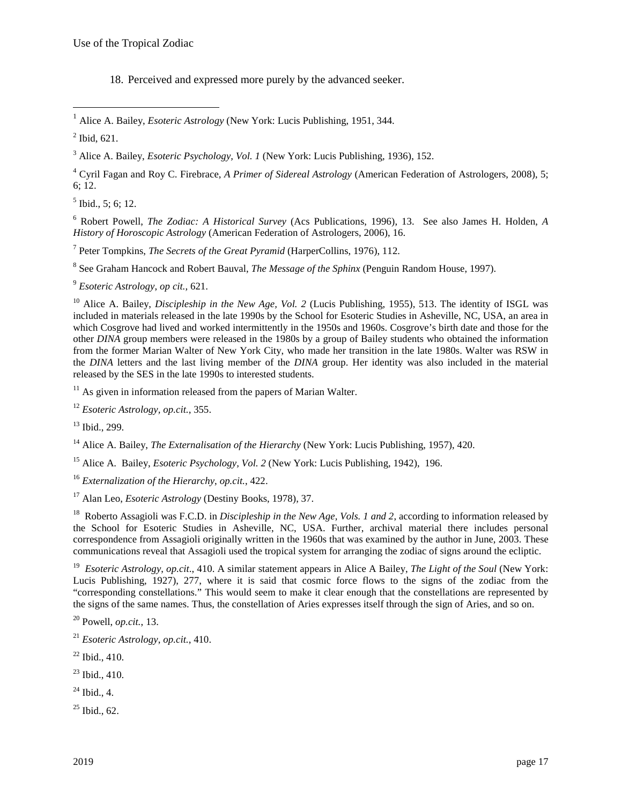18. Perceived and expressed more purely by the advanced seeker.

 $\overline{a}$ 

3 Alice A. Bailey, *Esoteric Psychology, Vol. 1* (New York: Lucis Publishing, 1936), 152.

4 Cyril Fagan and Roy C. Firebrace, *A Primer of Sidereal Astrology* (American Federation of Astrologers, 2008), 5; 6; 12.

 $<sup>5</sup>$  Ibid., 5; 6; 12.</sup>

6 Robert Powell, *The Zodiac: A Historical Survey* (Acs Publications, 1996), 13. See also James H. Holden, *A History of Horoscopic Astrology* (American Federation of Astrologers, 2006), 16.

7 Peter Tompkins, *The Secrets of the Great Pyramid* (HarperCollins, 1976), 112.

8 See Graham Hancock and Robert Bauval, *The Message of the Sphinx* (Penguin Random House, 1997).

<sup>9</sup> *Esoteric Astrology*, *op cit.,* 621.

<sup>10</sup> Alice A. Bailey, *Discipleship in the New Age, Vol. 2* (Lucis Publishing, 1955), 513. The identity of ISGL was included in materials released in the late 1990s by the School for Esoteric Studies in Asheville, NC, USA, an area in which Cosgrove had lived and worked intermittently in the 1950s and 1960s. Cosgrove's birth date and those for the other *DINA* group members were released in the 1980s by a group of Bailey students who obtained the information from the former Marian Walter of New York City, who made her transition in the late 1980s. Walter was RSW in the *DINA* letters and the last living member of the *DINA* group. Her identity was also included in the material released by the SES in the late 1990s to interested students.

 $11$  As given in information released from the papers of Marian Walter.

<sup>12</sup> *Esoteric Astrology, op.cit.*, 355.

 $13$  Ibid., 299.

<sup>14</sup> Alice A. Bailey, *The Externalisation of the Hierarchy* (New York: Lucis Publishing, 1957), 420.

<sup>15</sup> Alice A. Bailey, *Esoteric Psychology, Vol. 2* (New York: Lucis Publishing, 1942), 196.

<sup>16</sup> *Externalization of the Hierarchy*, *op.cit.*, 422.

<sup>17</sup> Alan Leo, *Esoteric Astrology* (Destiny Books, 1978), 37.

<sup>18</sup> Roberto Assagioli was F.C.D. in *Discipleship in the New Age, Vols. 1 and 2*, according to information released by the School for Esoteric Studies in Asheville, NC, USA. Further, archival material there includes personal correspondence from Assagioli originally written in the 1960s that was examined by the author in June, 2003. These communications reveal that Assagioli used the tropical system for arranging the zodiac of signs around the ecliptic.

19 *Esoteric Astrology*, *op.cit*., 410. A similar statement appears in Alice A Bailey, *The Light of the Soul* (New York: Lucis Publishing, 1927), 277, where it is said that cosmic force flows to the signs of the zodiac from the "corresponding constellations." This would seem to make it clear enough that the constellations are represented by the signs of the same names. Thus, the constellation of Aries expresses itself through the sign of Aries, and so on.

<sup>20</sup> Powell, *op.cit.*, 13.

- <sup>21</sup> *Esoteric Astrology*, *op.cit.*, 410.
- $22$  Ibid., 410.
- $23$  Ibid., 410.
- $^{24}$  Ibid., 4.

 $25$  Ibid., 62.

<sup>1</sup> Alice A. Bailey, *Esoteric Astrology* (New York: Lucis Publishing, 1951, 344.

 $<sup>2</sup>$  Ibid, 621.</sup>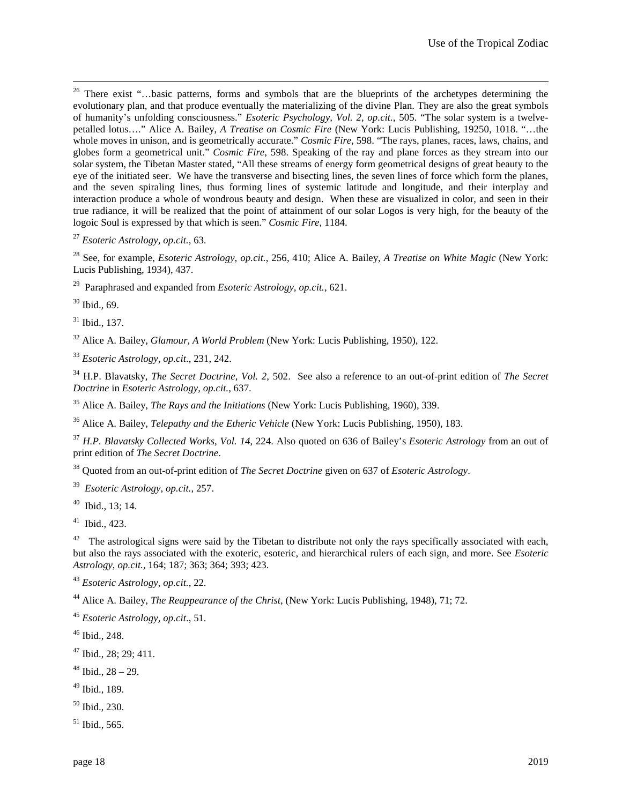<sup>26</sup> There exist "...basic patterns, forms and symbols that are the blueprints of the archetypes determining the evolutionary plan, and that produce eventually the materializing of the divine Plan. They are also the great symbols of humanity's unfolding consciousness." *Esoteric Psychology, Vol. 2, op.cit.*, 505. "The solar system is a twelvepetalled lotus…." Alice A. Bailey, *A Treatise on Cosmic Fire* (New York: Lucis Publishing, 19250, 1018. "…the whole moves in unison, and is geometrically accurate." *Cosmic Fire*, 598. "The rays, planes, races, laws, chains, and globes form a geometrical unit." *Cosmic Fire*, 598. Speaking of the ray and plane forces as they stream into our solar system, the Tibetan Master stated, "All these streams of energy form geometrical designs of great beauty to the eye of the initiated seer. We have the transverse and bisecting lines, the seven lines of force which form the planes, and the seven spiraling lines, thus forming lines of systemic latitude and longitude, and their interplay and interaction produce a whole of wondrous beauty and design. When these are visualized in color, and seen in their true radiance, it will be realized that the point of attainment of our solar Logos is very high, for the beauty of the logoic Soul is expressed by that which is seen." *Cosmic Fire*, 1184.

<sup>27</sup> *Esoteric Astrology, op.cit.*, 63.

<sup>28</sup> See, for example, *Esoteric Astrology, op.cit.*, 256, 410; Alice A. Bailey, *A Treatise on White Magic* (New York: Lucis Publishing, 1934), 437.

<sup>29</sup> Paraphrased and expanded from *Esoteric Astrology*, *op.cit.*, 621.

<sup>30</sup> Ibid., 69.

 $\overline{a}$ 

<sup>31</sup> Ibid., 137.

<sup>32</sup> Alice A. Bailey, *Glamour, A World Problem* (New York: Lucis Publishing, 1950), 122.

<sup>33</sup> *Esoteric Astrology*, *op.cit*., 231, 242.

<sup>34</sup> H.P. Blavatsky, *The Secret Doctrine*, *Vol. 2*, 502. See also a reference to an out-of-print edition of *The Secret Doctrine* in *Esoteric Astrology*, *op.cit.*, 637.

<sup>35</sup> Alice A. Bailey, *The Rays and the Initiations* (New York: Lucis Publishing, 1960), 339.

<sup>36</sup> Alice A. Bailey, *Telepathy and the Etheric Vehicle* (New York: Lucis Publishing, 1950), 183.

<sup>37</sup> *H.P. Blavatsky Collected Works*, *Vol. 14*, 224. Also quoted on 636 of Bailey's *Esoteric Astrology* from an out of print edition of *The Secret Doctrine*.

<sup>38</sup> Quoted from an out-of-print edition of *The Secret Doctrine* given on 637 of *Esoteric Astrology*.

39 *Esoteric Astrology*, *op.cit.*, 257.

<sup>40</sup> Ibid., 13; 14.

 $41$  Ibid., 423.

 $42$  The astrological signs were said by the Tibetan to distribute not only the rays specifically associated with each, but also the rays associated with the exoteric, esoteric, and hierarchical rulers of each sign, and more. See *Esoteric Astrology*, *op.cit.,* 164; 187; 363; 364; 393; 423.

<sup>43</sup> *Esoteric Astrology*, *op.cit.*, 22.

<sup>44</sup> Alice A. Bailey, *The Reappearance of the Christ*, (New York: Lucis Publishing, 1948), 71; 72.

<sup>45</sup> *Esoteric Astrology, op.cit*., 51.

<sup>46</sup> Ibid., 248.

<sup>47</sup> Ibid., 28; 29; 411.

 $48$  Ibid.,  $28 - 29$ .

<sup>49</sup> Ibid., 189.

 $50$  Ibid., 230.

 $51$  Ibid., 565.